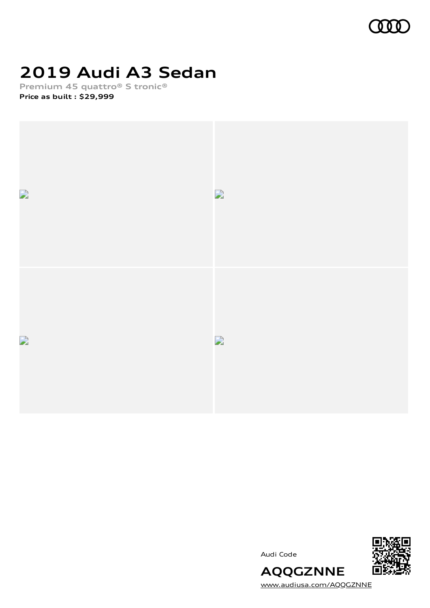

# **2019 Audi A3 Sedan**

**Premium 45 quattro® S tronic® Price as built [:](#page-10-0) \$29,999**



Audi Code



[www.audiusa.com/AQQGZNNE](https://www.audiusa.com/AQQGZNNE)

**AQQGZNNE**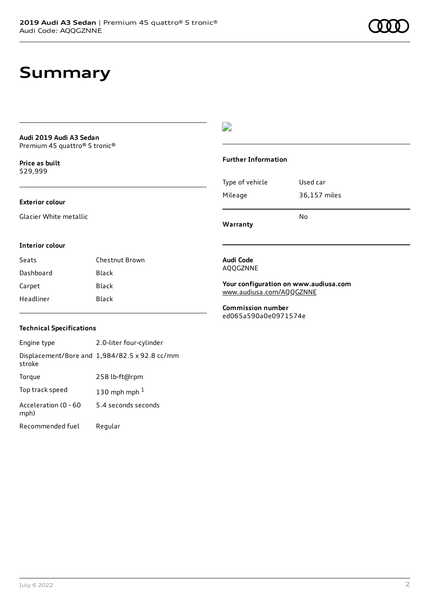### **Summary**

#### **Audi 2019 Audi A3 Sedan** Premium 45 quattro® S tronic®

**Price as buil[t](#page-10-0)** \$29,999

### **Exterior colour**

Glacier White metallic

### $\overline{\phantom{a}}$

#### **Further Information**

|                 | No           |  |
|-----------------|--------------|--|
| Mileage         | 36,157 miles |  |
| Type of vehicle | Used car     |  |

**Warranty**

#### **Interior colour**

Seats Chestnut Brown Dashboard Black Carpet Black Headliner Black

#### **Audi Code** AQQGZNNE

**Your configuration on www.audiusa.com** [www.audiusa.com/AQQGZNNE](https://www.audiusa.com/AQQGZNNE)

**Commission number** ed065a590a0e0971574e

### **Technical Specifications**

| Engine type                  | 2.0-liter four-cylinder                       |
|------------------------------|-----------------------------------------------|
| stroke                       | Displacement/Bore and 1,984/82.5 x 92.8 cc/mm |
| Torque                       | 258 lb-ft@rpm                                 |
| Top track speed              | 130 mph mph $1$                               |
| Acceleration (0 - 60<br>mph) | 5.4 seconds seconds                           |
| Recommended fuel             | Regular                                       |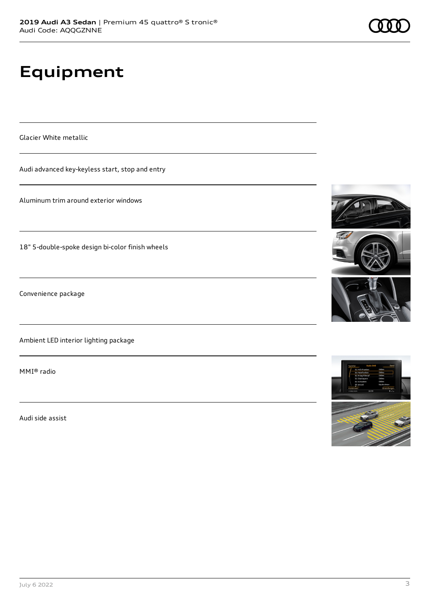# **Equipment**

Glacier White metallic

Audi advanced key-keyless start, stop and entry

Aluminum trim around exterior windows

18" 5-double-spoke design bi-color finish wheels

Convenience package

Ambient LED interior lighting package

MMI® radio

Audi side assist









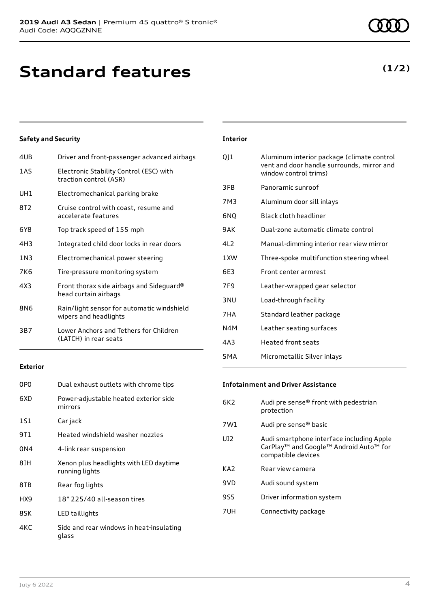## **Standard features**

### **Safety and Security**

| 4UB             | Driver and front-passenger advanced airbags                         |
|-----------------|---------------------------------------------------------------------|
| 1 A S           | Electronic Stability Control (ESC) with<br>traction control (ASR)   |
| UH1             | Electromechanical parking brake                                     |
| 8T2             | Cruise control with coast, resume and<br>accelerate features        |
| 6Y8             | Top track speed of 155 mph                                          |
| 4H3             | Integrated child door locks in rear doors                           |
| 1 N 3           | Electromechanical power steering                                    |
| 7K6             | Tire-pressure monitoring system                                     |
| 4X3             | Front thorax side airbags and Sideguard®<br>head curtain airbags    |
| 8N <sub>6</sub> | Rain/light sensor for automatic windshield<br>wipers and headlights |
| 3B7             | Lower Anchors and Tethers for Children<br>(LATCH) in rear seats     |
|                 |                                                                     |

### **Exterior**

| 0PO  | Dual exhaust outlets with chrome tips                    |
|------|----------------------------------------------------------|
| 6XD  | Power-adjustable heated exterior side<br>mirrors         |
| 1S1  | Car jack                                                 |
| 9T 1 | Heated windshield washer nozzles                         |
| 0N4  | 4-link rear suspension                                   |
| 8IH  | Xenon plus headlights with LED daytime<br>running lights |
| 8TB  | Rear fog lights                                          |
| HX9  | 18" 225/40 all-season tires                              |
| 8SK  | LED taillights                                           |
| 4K C | Side and rear windows in heat-insulating<br>glass        |

### **Interior**

| QJ1             | Aluminum interior package (climate control<br>vent and door handle surrounds, mirror and<br>window control trims) |
|-----------------|-------------------------------------------------------------------------------------------------------------------|
| 3FB             | Panoramic sunroof                                                                                                 |
| 7M3             | Aluminum door sill inlays                                                                                         |
| 6NO             | Black cloth headliner                                                                                             |
| 9AK             | Dual-zone automatic climate control                                                                               |
| 412             | Manual-dimming interior rear view mirror                                                                          |
| 1 XW            | Three-spoke multifunction steering wheel                                                                          |
| 6F3             | Front center armrest                                                                                              |
| 7F <sub>9</sub> | Leather-wrapped gear selector                                                                                     |
| 3 <sub>NU</sub> | Load-through facility                                                                                             |
| 7HA             | Standard leather package                                                                                          |
| N4M             | Leather seating surfaces                                                                                          |
| 4A3             | Heated front seats                                                                                                |
| 5MA             | Micrometallic Silver inlays                                                                                       |

#### **Infotainment and Driver Assistance**

| 6K2             | Audi pre sense® front with pedestrian<br>protection                                                                   |
|-----------------|-----------------------------------------------------------------------------------------------------------------------|
| 7W1             | Audi pre sense® basic                                                                                                 |
| UD <sub>2</sub> | Audi smartphone interface including Apple<br>CarPlay <sup>™</sup> and Google™ Android Auto™ for<br>compatible devices |
| KA <sub>2</sub> | Rear view camera                                                                                                      |
| 9VD             | Audi sound system                                                                                                     |
| 9S5             | Driver information system                                                                                             |
| 7UH             | Connectivity package                                                                                                  |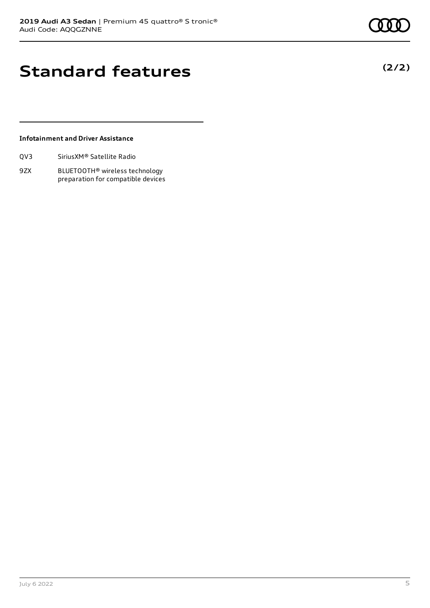**(2/2)**

## **Standard features**

### **Infotainment and Driver Assistance**

| Sirius XM <sup>®</sup> Satellite Radio<br>QV3 |
|-----------------------------------------------|
|-----------------------------------------------|

9ZX BLUETOOTH® wireless technology preparation for compatible devices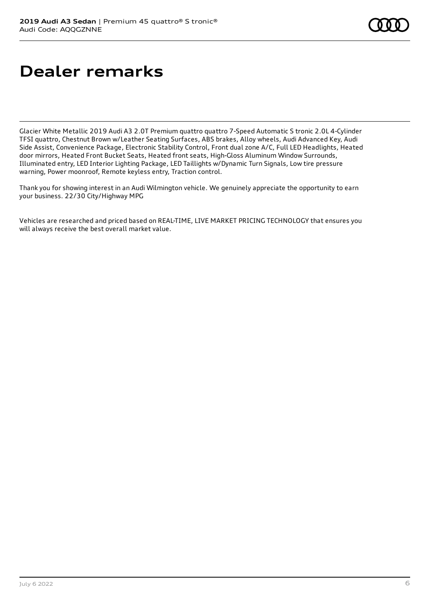## **Dealer remarks**

Glacier White Metallic 2019 Audi A3 2.0T Premium quattro quattro 7-Speed Automatic S tronic 2.0L 4-Cylinder TFSI quattro, Chestnut Brown w/Leather Seating Surfaces, ABS brakes, Alloy wheels, Audi Advanced Key, Audi Side Assist, Convenience Package, Electronic Stability Control, Front dual zone A/C, Full LED Headlights, Heated door mirrors, Heated Front Bucket Seats, Heated front seats, High-Gloss Aluminum Window Surrounds, Illuminated entry, LED Interior Lighting Package, LED Taillights w/Dynamic Turn Signals, Low tire pressure warning, Power moonroof, Remote keyless entry, Traction control.

Thank you for showing interest in an Audi Wilmington vehicle. We genuinely appreciate the opportunity to earn your business. 22/30 City/Highway MPG

Vehicles are researched and priced based on REAL-TIME, LIVE MARKET PRICING TECHNOLOGY that ensures you will always receive the best overall market value.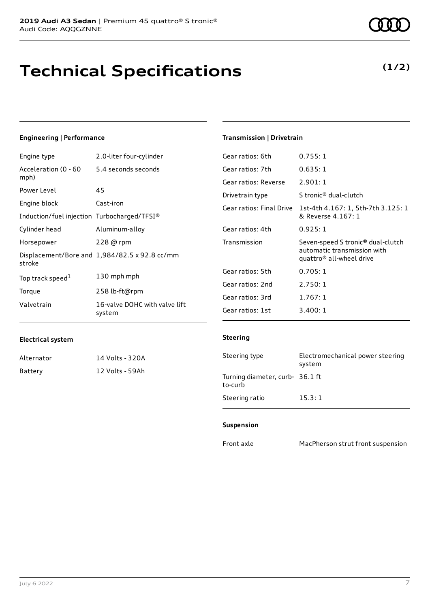## **Technical Specifications**

#### **Engineering | Performance**

| Engine type                                 | 2.0-liter four-cylinder                       | Gear ratios: 6th         | 0.755:            |
|---------------------------------------------|-----------------------------------------------|--------------------------|-------------------|
| Acceleration (0 - 60                        | 5.4 seconds seconds                           | Gear ratios: 7th         | 0.635:            |
| mph)                                        |                                               | Gear ratios: Reverse     | 2.901:            |
| Power Level                                 | 45                                            | Drivetrain type          | S tronic          |
| Engine block                                | Cast-iron                                     | Gear ratios: Final Drive | 1st-4th           |
| Induction/fuel injection Turbocharged/TFSI® |                                               |                          | & Rever           |
| Cylinder head                               | Aluminum-alloy                                | Gear ratios: 4th         | 0.925:            |
| Horsepower                                  | $228$ @ rpm                                   | Transmission             | Seven-s           |
| stroke                                      | Displacement/Bore and 1,984/82.5 x 92.8 cc/mm |                          | automa<br>quattro |
|                                             | 130 mph mph                                   | Gear ratios: 5th         | 0.705:            |
| Top track speed <sup>1</sup>                |                                               | Gear ratios: 2nd         | 2.750:            |
| Torque                                      | 258 lb-ft@rpm                                 | Gear ratios: 3rd         | 1.767:            |
| Valvetrain                                  | 16-valve DOHC with valve lift<br>system       | Gear ratios: 1st         | 3.400:            |

### **Electrical system**

| Alternator | 14 Volts - 320A |
|------------|-----------------|
| Battery    | 12 Volts - 59Ah |

### **Transmission | Drivetrain**

| Gear ratios: 6th         | 0.755:1                                                                                                              |
|--------------------------|----------------------------------------------------------------------------------------------------------------------|
| Gear ratios: 7th         | 0.635:1                                                                                                              |
| Gear ratios: Reverse     | 2.901:1                                                                                                              |
| Drivetrain type          | S tronic <sup>®</sup> dual-clutch                                                                                    |
| Gear ratios: Final Drive | 1st-4th 4.167: 1, 5th-7th 3.125: 1<br>& Reverse 4.167: 1                                                             |
| Gear ratios: 4th         | 0.925:1                                                                                                              |
| Transmission             | Seven-speed S tronic <sup>®</sup> dual-clutch<br>automatic transmission with<br>quattro <sup>®</sup> all-wheel drive |
| Gear ratios: 5th         | 0.705:1                                                                                                              |
| Gear ratios: 2nd         | 2.750:1                                                                                                              |
| Gear ratios: 3rd         | 1.767:1                                                                                                              |
| Gear ratios: 1st         | 3.400:1                                                                                                              |

### **Steering**

| Steering type                              | Electromechanical power steering<br>system |
|--------------------------------------------|--------------------------------------------|
| Turning diameter, curb- 36.1 ft<br>to-curb |                                            |
| Steering ratio                             | 15.3:1                                     |

#### **Suspension**

Front axle MacPherson strut front suspension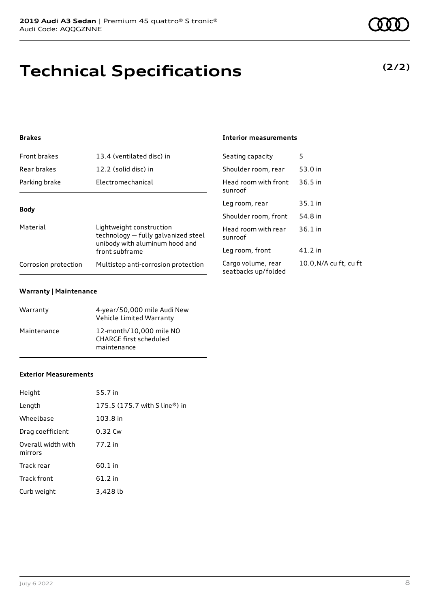# **Technical Specifications**

### **Brakes**

| Front brakes         | 13.4 (ventilated disc) in                                                                         | Seating capacity                          | 5                      |
|----------------------|---------------------------------------------------------------------------------------------------|-------------------------------------------|------------------------|
| Rear brakes          | 12.2 (solid disc) in                                                                              | Shoulder room, rear                       | 53.0 in                |
| Parking brake        | Electromechanical                                                                                 | Head room with front<br>sunroof           | $36.5$ in              |
| <b>Body</b>          |                                                                                                   | Leg room, rear                            | $35.1$ in              |
|                      |                                                                                                   | Shoulder room, front                      | 54.8 in                |
| Material             | Lightweight construction<br>technology - fully galvanized steel<br>unibody with aluminum hood and | Head room with rear<br>sunroof            | $36.1$ in              |
|                      | front subframe                                                                                    | Leg room, front                           | 41.2 in                |
| Corrosion protection | Multistep anti-corrosion protection                                                               | Cargo volume, rear<br>seatbacks up/folded | 10.0, N/A cu ft, cu ft |

**Interior measurements**

#### **Warranty | Maintenance**

| Warranty    | 4-year/50,000 mile Audi New<br>Vehicle Limited Warranty                 |
|-------------|-------------------------------------------------------------------------|
| Maintenance | 12-month/10.000 mile NO<br><b>CHARGE first scheduled</b><br>maintenance |

#### **Exterior Measurements**

| Height                        | 55.7 in                       |
|-------------------------------|-------------------------------|
| Length                        | 175.5 (175.7 with S line®) in |
| Wheelbase                     | 103.8 in                      |
| Drag coefficient              | 0.32 Cw                       |
| Overall width with<br>mirrors | 77.2 in                       |
| Track rear                    | 60.1 in                       |
| Track front                   | 61.2 in                       |
| Curb weight                   | 3,428 lb                      |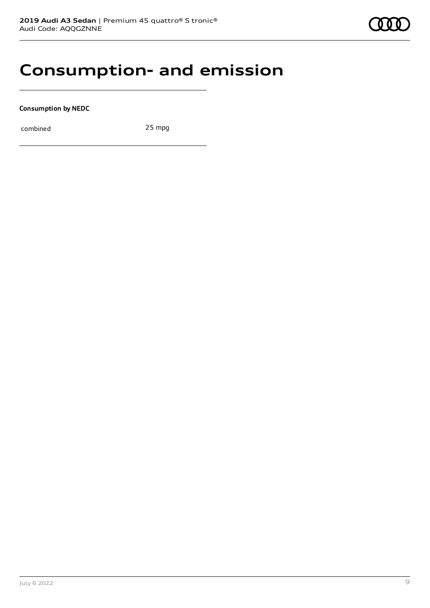### **Consumption- and emission**

**Consumption by NEDC**

combined 25 mpg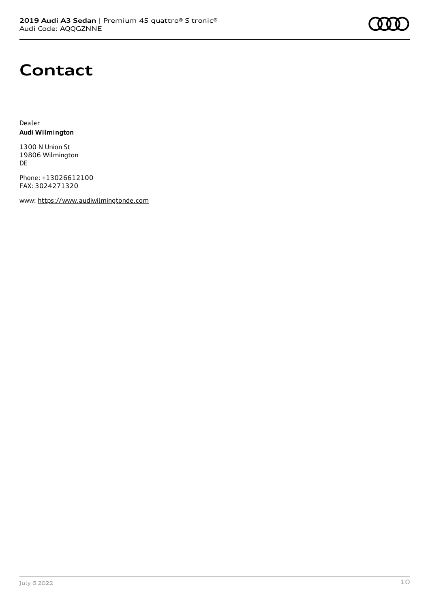

### **Contact**

Dealer **Audi Wilmington**

1300 N Union St 19806 Wilmington DE

Phone: +13026612100 FAX: 3024271320

www: [https://www.audiwilmingtonde.com](https://www.audiwilmingtonde.com/)